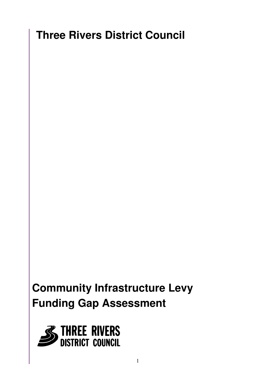# **Three Rivers District Council**

# **Community Infrastructure Levy Funding Gap Assessment**

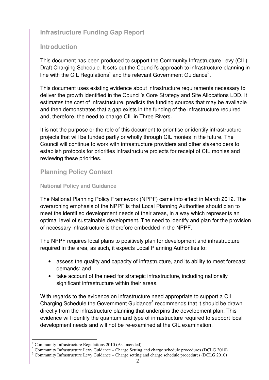## **Infrastructure Funding Gap Report**

## **Introduction**

This document has been produced to support the Community Infrastructure Levy (CIL) Draft Charging Schedule. It sets out the Council's approach to infrastructure planning in line with the CIL Regulations<sup>1</sup> and the relevant Government Guidance<sup>2</sup>.

This document uses existing evidence about infrastructure requirements necessary to deliver the growth identified in the Council's Core Strategy and Site Allocations LDD. It estimates the cost of infrastructure, predicts the funding sources that may be available and then demonstrates that a gap exists in the funding of the infrastructure required and, therefore, the need to charge CIL in Three Rivers.

It is not the purpose or the role of this document to prioritise or identify infrastructure projects that will be funded partly or wholly through CIL monies in the future. The Council will continue to work with infrastructure providers and other stakeholders to establish protocols for priorities infrastructure projects for receipt of CIL monies and reviewing these priorities.

## **Planning Policy Context**

#### **National Policy and Guidance**

The National Planning Policy Framework (NPPF) came into effect in March 2012. The overarching emphasis of the NPPF is that Local Planning Authorities should plan to meet the identified development needs of their areas, in a way which represents an optimal level of sustainable development. The need to identify and plan for the provision of necessary infrastructure is therefore embedded in the NPPF.

The NPPF requires local plans to positively plan for development and infrastructure required in the area, as such, it expects Local Planning Authorities to:

- assess the quality and capacity of infrastructure, and its ability to meet forecast demands: and
- take account of the need for strategic infrastructure, including nationally significant infrastructure within their areas.

With regards to the evidence on infrastructure need appropriate to support a CIL Charging Schedule the Government Guidance<sup>3</sup> recommends that it should be drawn directly from the infrastructure planning that underpins the development plan. This evidence will identify the quantum and type of infrastructure required to support local development needs and will not be re-examined at the CIL examination.

 1 Community Infrastructure Regulations 2010 (As amended)

<sup>&</sup>lt;sup>2</sup> Community Infrastructure Levy Guidance – Charge Setting and charge schedule procedures (DCLG 2010).

 $3$  Community Infrastructure Levy Guidance – Charge setting and charge schedule procedures (DCLG 2010)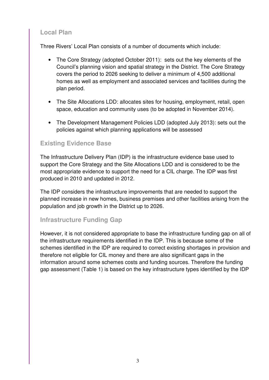## **Local Plan**

Three Rivers' Local Plan consists of a number of documents which include:

- The Core Strategy (adopted October 2011): sets out the key elements of the Council's planning vision and spatial strategy in the District. The Core Strategy covers the period to 2026 seeking to deliver a minimum of 4,500 additional homes as well as employment and associated services and facilities during the plan period.
- The Site Allocations LDD: allocates sites for housing, employment, retail, open space, education and community uses (to be adopted in November 2014).
- The Development Management Policies LDD (adopted July 2013): sets out the policies against which planning applications will be assessed

## **Existing Evidence Base**

The Infrastructure Delivery Plan (IDP) is the infrastructure evidence base used to support the Core Strategy and the Site Allocations LDD and is considered to be the most appropriate evidence to support the need for a CIL charge. The IDP was first produced in 2010 and updated in 2012.

The IDP considers the infrastructure improvements that are needed to support the planned increase in new homes, business premises and other facilities arising from the population and job growth in the District up to 2026.

## **Infrastructure Funding Gap**

However, it is not considered appropriate to base the infrastructure funding gap on all of the infrastructure requirements identified in the IDP. This is because some of the schemes identified in the IDP are required to correct existing shortages in provision and therefore not eligible for CIL money and there are also significant gaps in the information around some schemes costs and funding sources. Therefore the funding gap assessment (Table 1) is based on the key infrastructure types identified by the IDP